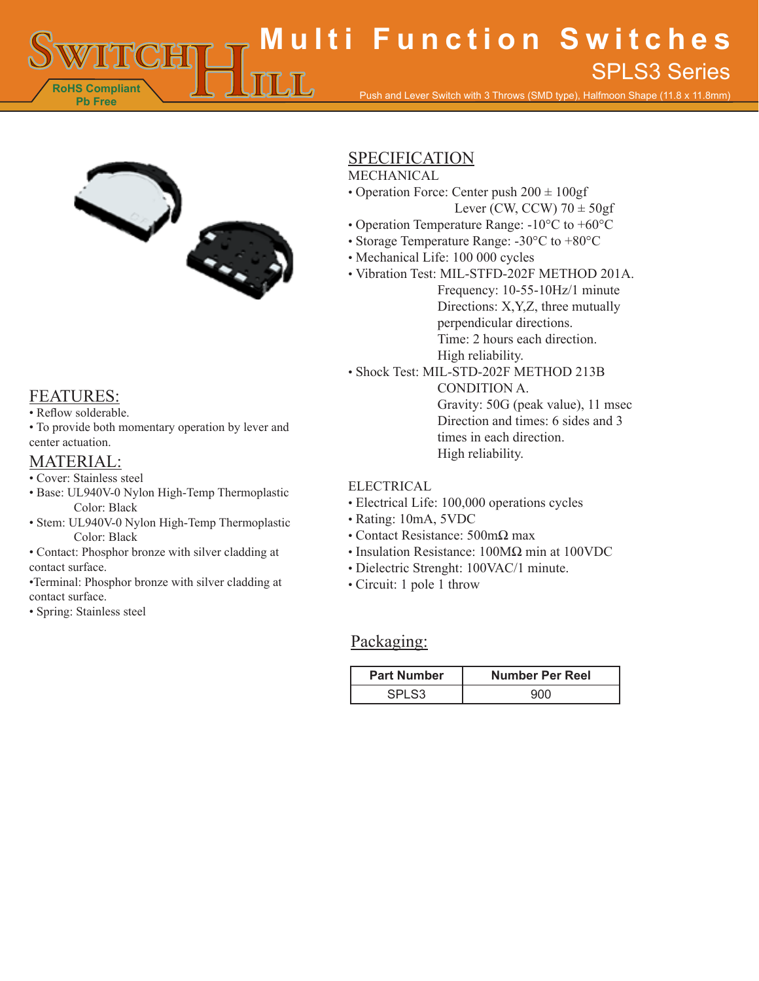**RoHS Compliant Pb Free Multi Function Switches** Push and Lever Switch with 3 Throws (SMD type), Halfmoon Shape (11.8 x 11.8mm) SPLS3 Series



## FEATURES:

- Reflow solderable.
- To provide both momentary operation by lever and center actuation.

# MATERIAL:

- Cover: Stainless steel
- Base: UL940V-0 Nylon High-Temp Thermoplastic Color: Black
- Stem: UL940V-0 Nylon High-Temp Thermoplastic Color: Black
- Contact: Phosphor bronze with silver cladding at contact surface.
- •Terminal: Phosphor bronze with silver cladding at contact surface.
- Spring: Stainless steel

# SPECIFICATION

#### MECHANICAL

- Operation Force: Center push 200 ± 100gf Lever (CW, CCW)  $70 \pm 50$ gf
- Operation Temperature Range: -10°C to +60°C
- Storage Temperature Range: -30°C to +80°C
- Mechanical Life: 100 000 cycles
- Vibration Test: MIL-STFD-202F METHOD 201A.
	- Frequency: 10-55-10Hz/1 minute Directions: X,Y,Z, three mutually perpendicular directions. Time: 2 hours each direction. High reliability.
- Shock Test: MIL-STD-202F METHOD 213B

CONDITION A. Gravity: 50G (peak value), 11 msec Direction and times: 6 sides and 3 times in each direction. High reliability.

#### ELECTRICAL

- Electrical Life: 100,000 operations cycles
- Rating: 10mA, 5VDC
- Contact Resistance: 500mΩ max
- Insulation Resistance: 100MΩ min at 100VDC
- Dielectric Strenght: 100VAC/1 minute.
- Circuit: 1 pole 1 throw

### Packaging:

| <b>Part Number</b> | <b>Number Per Reel</b> |
|--------------------|------------------------|
|                    |                        |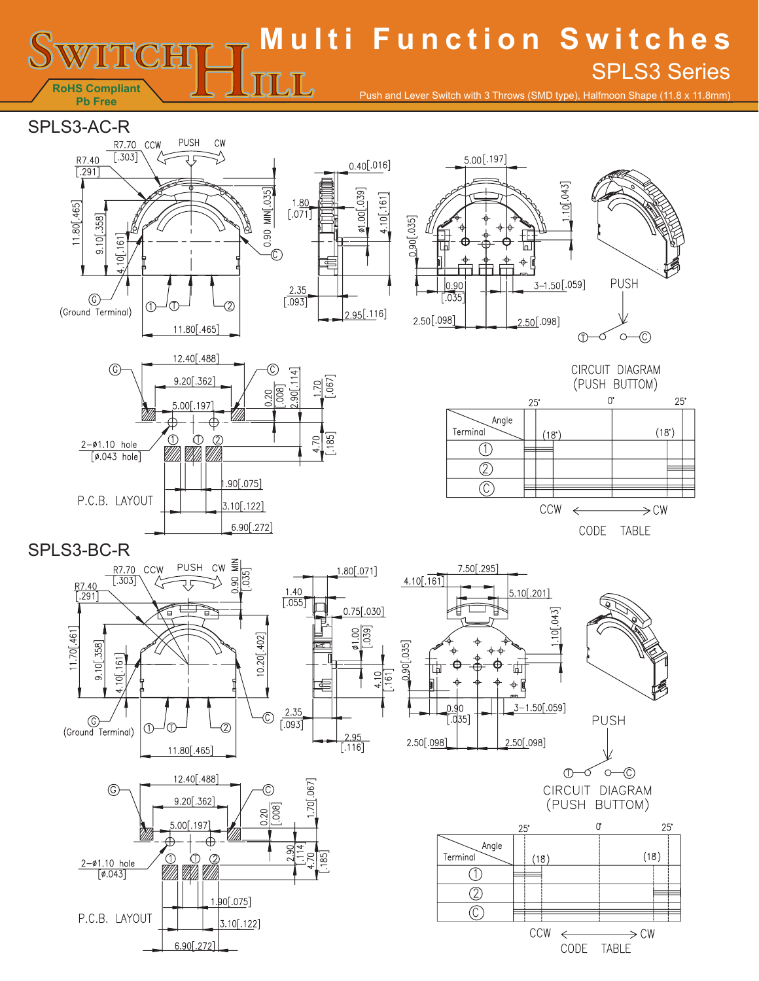#### **Multi Function Switches** SPLS3 Series $\coprod$ **RoHS Compliant** Push and Lever Switch with 3 Throws (SMD type), Halfmoon Shape (11.8 x 11.8mm) **Pb Free**

 $1.80[.071]$ 

 $0.75$ [.030]

4.10

 $161$ 

S 039

.95

 $\frac{24}{116}$ 

SPLS3-AC-R





12.40[.488]  $\circledcirc$  $\frac{1}{4}$ 9.20[.362]  $\frac{70}{067}$  $\overline{)08}$  $20$  $.00$ [.197]  $\overline{\mathbb{Z}}$  and  $\overline{\mathbb{Z}}$  $[.185]$ 4.70  $2 - 01.10$  hole  $[$ Ø.043 hole]  $.90[.075]$ P.C.B. LAYOUT  $3.10$ [.122]  $6.90[.272]$ 

CIRCUIT DIAGRAM (PUSH BUTTOM)



SPLS3-BC-R